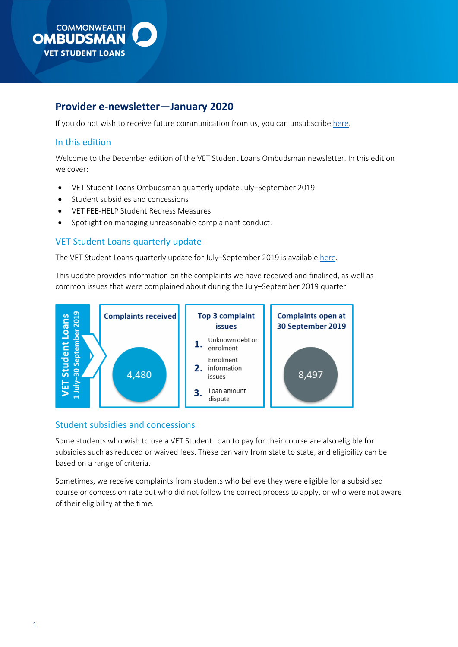

# **Provider e-newsletter—January 2020**

If you do not wish to receive future communication from us, you can unsubscribe [here.](https://ombudsman.us5.list-manage.com/unsubscribe?u=74266ffd1d0f1c6c427e4f1d4&id=b9075833e1&e=eeadf55fbc&c=ee5701b5b8)

# In this edition

Welcome to the December edition of the VFT Student Loans Ombudsman newsletter. In this edition we cover:

- VET Student Loans Ombudsman quarterly update July–September 2019
- Student subsidies and concessions
- VET FEE-HELP Student Redress Measures
- Spotlight on managing unreasonable complainant conduct.

# VET Student Loans quarterly update

The VET Student Loans quarterly update for July–September 2019 is available [here.](https://www.ombudsman.gov.au/publications/industry/vet-student-loans)

 common issues that were complained about during the July–September 2019 quarter. This update provides information on the complaints we have received and finalised, as well as



### Student subsidies and concessions

 Some students who wish to use a VET Student Loan to pay for their course are also eligible for subsidies such as reduced or waived fees. These can vary from state to state, and eligibility can be based on a range of criteria.

 course or concession rate but who did not follow the correct process to apply, or who were not aware Sometimes, we receive complaints from students who believe they were eligible for a subsidised of their eligibility at the time.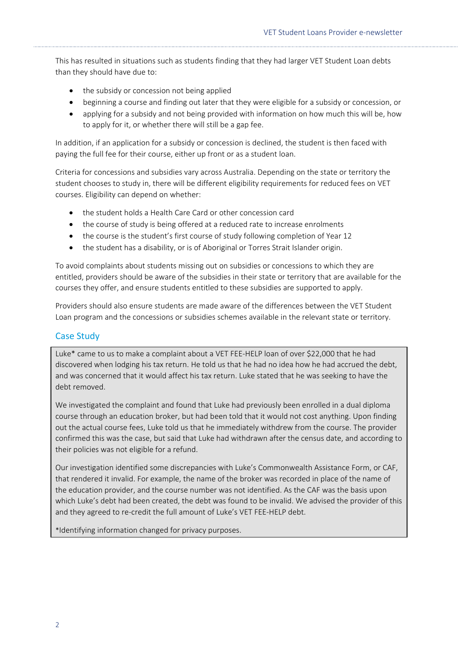This has resulted in situations such as students finding that they had larger VET Student Loan debts than they should have due to:

- the subsidy or concession not being applied
- beginning a course and finding out later that they were eligible for a subsidy or concession, or
- • applying for a subsidy and not being provided with information on how much this will be, how to apply for it, or whether there will still be a gap fee.

 In addition, if an application for a subsidy or concession is declined, the student is then faced with paying the full fee for their course, either up front or as a student loan.

 Criteria for concessions and subsidies vary across Australia. Depending on the state or territory the student chooses to study in, there will be different eligibility requirements for reduced fees on VET courses. Eligibility can depend on whether:

- the student holds a Health Care Card or other concession card
- the course of study is being offered at a reduced rate to increase enrolments
- the course is the student's first course of study following completion of Year 12
- the student has a disability, or is of Aboriginal or Torres Strait Islander origin.

 To avoid complaints about students missing out on subsidies or concessions to which they are entitled, providers should be aware of the subsidies in their state or territory that are available for the courses they offer, and ensure students entitled to these subsidies are supported to apply.

 Loan program and the concessions or subsidies schemes available in the relevant state or territory. Providers should also ensure students are made aware of the differences between the VET Student

# Case Study

 discovered when lodging his tax return. He told us that he had no idea how he had accrued the debt, and was concerned that it would affect his tax return. Luke stated that he was seeking to have the Luke\* came to us to make a complaint about a VET FEE-HELP loan of over \$22,000 that he had debt removed.

 We investigated the complaint and found that Luke had previously been enrolled in a dual diploma out the actual course fees, Luke told us that he immediately withdrew from the course. The provider their policies was not eligible for a refund. course through an education broker, but had been told that it would not cost anything. Upon finding confirmed this was the case, but said that Luke had withdrawn after the census date, and according to

 that rendered it invalid. For example, the name of the broker was recorded in place of the name of the education provider, and the course number was not identified. As the CAF was the basis upon which Luke's debt had been created, the debt was found to be invalid. We advised the provider of this and they agreed to re-credit the full amount of Luke's VET FEE-HELP debt. Our investigation identified some discrepancies with Luke's Commonwealth Assistance Form, or CAF,

\*Identifying information changed for privacy purposes.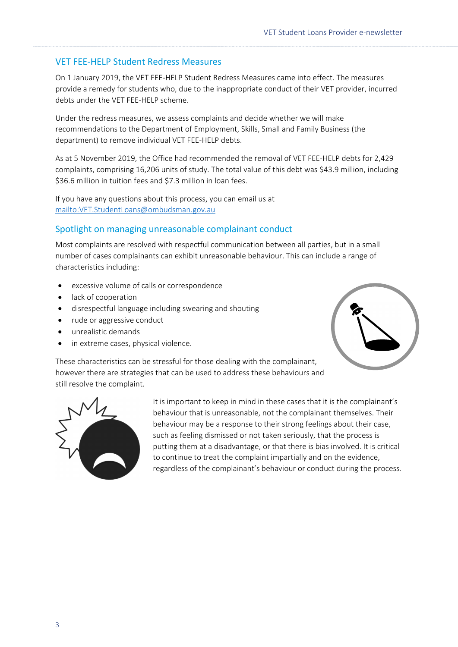# VET FEE-HELP Student Redress Measures

 On 1 January 2019, the VET FEE-HELP Student Redress Measures came into effect. The measures provide a remedy for students who, due to the inappropriate conduct of their VET provider, incurred debts under the VET FEE-HELP scheme.

 recommendations to the Department of Employment, Skills, Small and Family Business (the Under the redress measures, we assess complaints and decide whether we will make department) to remove individual VET FEE-HELP debts.

As at 5 November 2019, the Office had recommended the removal of VET FEE-HELP debts for 2,429 complaints, comprising 16,206 units of study. The total value of this debt was \$43.9 million, including \$36.6 million in tuition fees and \$7.3 million in loan fees.

 If you have any questions about this process, you can email us at <mailto:VET.StudentLoans@ombudsman.gov.au>

# Spotlight on managing unreasonable complainant conduct

 Most complaints are resolved with respectful communication between all parties, but in a small number of cases complainants can exhibit unreasonable behaviour. This can include a range of characteristics including:

- excessive volume of calls or correspondence
- lack of cooperation
- disrespectful language including swearing and shouting
- rude or aggressive conduct
- unrealistic demands
- in extreme cases, physical violence.



 however there are strategies that can be used to address these behaviours and These characteristics can be stressful for those dealing with the complainant, still resolve the complaint.



 behaviour that is unreasonable, not the complainant themselves. Their putting them at a disadvantage, or that there is bias involved. It is critical to continue to treat the complaint impartially and on the evidence, It is important to keep in mind in these cases that it is the complainant's behaviour may be a response to their strong feelings about their case, such as feeling dismissed or not taken seriously, that the process is regardless of the complainant's behaviour or conduct during the process.